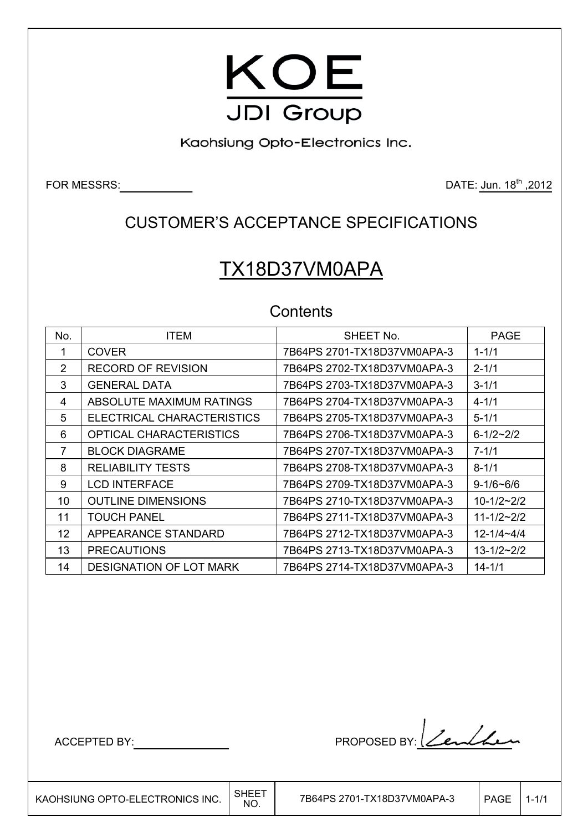

Kaohsiung Opto-Electronics Inc.

FOR MESSRS: 2012

## CUSTOMER'S ACCEPTANCE SPECIFICATIONS

# TX18D37VM0APA

## **Contents**

| No.            | <b>ITEM</b>                    | SHEET No.                   | <b>PAGE</b>         |
|----------------|--------------------------------|-----------------------------|---------------------|
| 1              | <b>COVER</b>                   | 7B64PS 2701-TX18D37VM0APA-3 | $1 - 1/1$           |
| $\overline{2}$ | <b>RECORD OF REVISION</b>      | 7B64PS 2702-TX18D37VM0APA-3 | $2 - 1/1$           |
| 3              | <b>GENERAL DATA</b>            | 7B64PS 2703-TX18D37VM0APA-3 | $3 - 1/1$           |
| 4              | ABSOLUTE MAXIMUM RATINGS       | 7B64PS 2704-TX18D37VM0APA-3 | $4 - 1/1$           |
| 5              | ELECTRICAL CHARACTERISTICS     | 7B64PS 2705-TX18D37VM0APA-3 | $5 - 1/1$           |
| 6              | OPTICAL CHARACTERISTICS        | 7B64PS 2706-TX18D37VM0APA-3 | $6 - 1/2 \sim 2/2$  |
|                | <b>BLOCK DIAGRAME</b>          | 7B64PS 2707-TX18D37VM0APA-3 | $7 - 1/1$           |
| 8              | <b>RELIABILITY TESTS</b>       | 7B64PS 2708-TX18D37VM0APA-3 | $8 - 1/1$           |
| 9              | <b>LCD INTERFACE</b>           | 7B64PS 2709-TX18D37VM0APA-3 | $9 - 1/6 - 6/6$     |
| 10             | <b>OUTLINE DIMENSIONS</b>      | 7B64PS 2710-TX18D37VM0APA-3 | $10-1/2-2/2$        |
| 11             | <b>TOUCH PANEL</b>             | 7B64PS 2711-TX18D37VM0APA-3 | $11 - 1/2 - 2/2$    |
| 12             | APPEARANCE STANDARD            | 7B64PS 2712-TX18D37VM0APA-3 | $12 - 1/4 - 4/4$    |
| 13             | <b>PRECAUTIONS</b>             | 7B64PS 2713-TX18D37VM0APA-3 | $13 - 1/2 \sim 2/2$ |
| 14             | <b>DESIGNATION OF LOT MARK</b> | 7B64PS 2714-TX18D37VM0APA-3 | $14 - 1/1$          |

 $\mathsf{I}$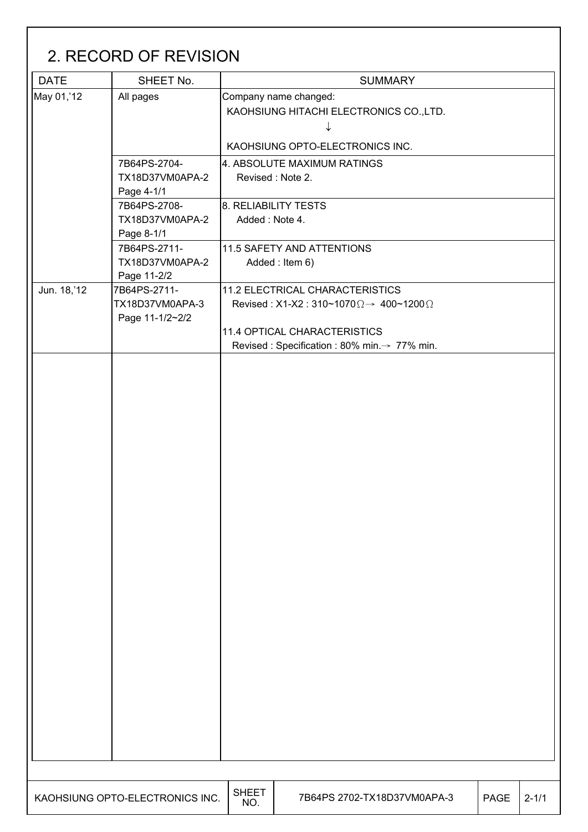# 2. RECORD OF REVISION

| <b>DATE</b> | SHEET No.                       |                      | <b>SUMMARY</b>                                                    |             |           |
|-------------|---------------------------------|----------------------|-------------------------------------------------------------------|-------------|-----------|
| May 01,'12  | All pages                       |                      | Company name changed:                                             |             |           |
|             |                                 |                      | KAOHSIUNG HITACHI ELECTRONICS CO., LTD.                           |             |           |
|             |                                 |                      | ↓                                                                 |             |           |
|             |                                 |                      | KAOHSIUNG OPTO-ELECTRONICS INC.                                   |             |           |
|             | 7B64PS-2704-                    |                      | 4. ABSOLUTE MAXIMUM RATINGS                                       |             |           |
|             | TX18D37VM0APA-2                 |                      | Revised: Note 2.                                                  |             |           |
|             | Page 4-1/1                      |                      |                                                                   |             |           |
|             | 7B64PS-2708-                    | 8. RELIABILITY TESTS |                                                                   |             |           |
|             | TX18D37VM0APA-2                 | Added: Note 4.       |                                                                   |             |           |
|             | Page 8-1/1                      |                      |                                                                   |             |           |
|             | 7B64PS-2711-                    |                      | 11.5 SAFETY AND ATTENTIONS                                        |             |           |
|             | TX18D37VM0APA-2                 |                      | Added: Item 6)                                                    |             |           |
|             | Page 11-2/2                     |                      |                                                                   |             |           |
| Jun. 18,'12 | 7B64PS-2711-                    |                      | 11.2 ELECTRICAL CHARACTERISTICS                                   |             |           |
|             | TX18D37VM0APA-3                 |                      | Revised: X1-X2: 310~1070 $\Omega$ $\rightarrow$ 400~1200 $\Omega$ |             |           |
|             | Page 11-1/2~2/2                 |                      |                                                                   |             |           |
|             |                                 |                      | 11.4 OPTICAL CHARACTERISTICS                                      |             |           |
|             |                                 |                      | Revised : Specification : 80% min.→ 77% min.                      |             |           |
|             |                                 |                      |                                                                   |             |           |
|             |                                 |                      |                                                                   |             |           |
|             |                                 |                      |                                                                   |             |           |
|             |                                 |                      |                                                                   |             |           |
|             |                                 |                      |                                                                   |             |           |
|             |                                 |                      |                                                                   |             |           |
|             |                                 |                      |                                                                   |             |           |
|             |                                 |                      |                                                                   |             |           |
|             |                                 |                      |                                                                   |             |           |
|             |                                 |                      |                                                                   |             |           |
|             |                                 |                      |                                                                   |             |           |
|             |                                 |                      |                                                                   |             |           |
|             |                                 |                      |                                                                   |             |           |
|             |                                 |                      |                                                                   |             |           |
|             |                                 |                      |                                                                   |             |           |
|             |                                 |                      |                                                                   |             |           |
|             |                                 |                      |                                                                   |             |           |
|             |                                 |                      |                                                                   |             |           |
|             |                                 |                      |                                                                   |             |           |
|             |                                 |                      |                                                                   |             |           |
|             |                                 |                      |                                                                   |             |           |
|             |                                 |                      |                                                                   |             |           |
|             |                                 |                      |                                                                   |             |           |
|             |                                 |                      |                                                                   |             |           |
|             |                                 |                      |                                                                   |             |           |
|             |                                 |                      |                                                                   |             |           |
|             |                                 |                      |                                                                   |             |           |
|             |                                 |                      |                                                                   |             |           |
|             | KAOHSIUNG OPTO-ELECTRONICS INC. | <b>SHEET</b><br>NO.  | 7B64PS 2702-TX18D37VM0APA-3                                       | <b>PAGE</b> | $2 - 1/1$ |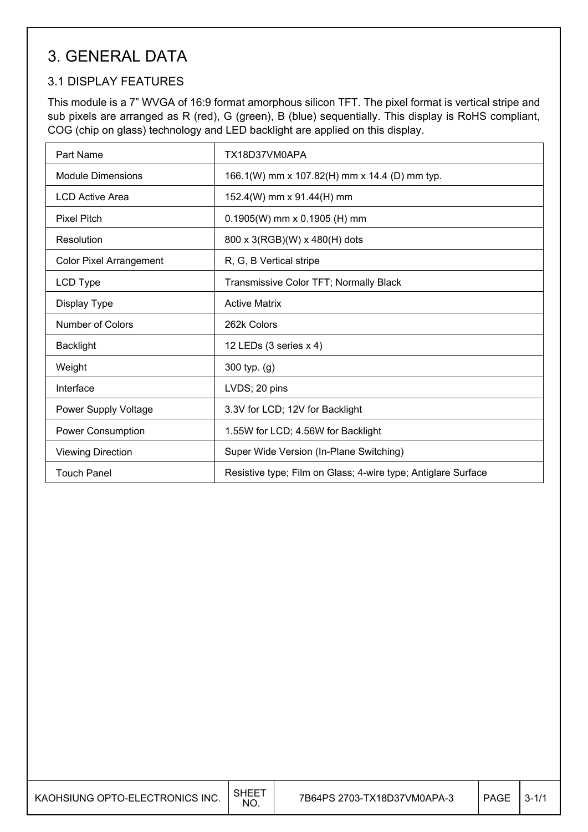## 3. GENERAL DATA

## 3.1 DISPLAY FEATURES

This module is a 7" WVGA of 16:9 format amorphous silicon TFT. The pixel format is vertical stripe and sub pixels are arranged as R (red), G (green), B (blue) sequentially. This display is RoHS compliant, COG (chip on glass) technology and LED backlight are applied on this display.

| Part Name                      | TX18D37VM0APA                                                 |
|--------------------------------|---------------------------------------------------------------|
| <b>Module Dimensions</b>       | 166.1(W) mm x 107.82(H) mm x 14.4 (D) mm typ.                 |
| <b>LCD Active Area</b>         | 152.4(W) mm x 91.44(H) mm                                     |
| <b>Pixel Pitch</b>             | $0.1905(W)$ mm x 0.1905 (H) mm                                |
| Resolution                     | 800 x 3(RGB)(W) x 480(H) dots                                 |
| <b>Color Pixel Arrangement</b> | R, G, B Vertical stripe                                       |
| LCD Type                       | Transmissive Color TFT; Normally Black                        |
| Display Type                   | <b>Active Matrix</b>                                          |
| <b>Number of Colors</b>        | 262k Colors                                                   |
| <b>Backlight</b>               | 12 LEDs (3 series x 4)                                        |
| Weight                         | 300 typ. (g)                                                  |
| Interface                      | LVDS; 20 pins                                                 |
| Power Supply Voltage           | 3.3V for LCD; 12V for Backlight                               |
| Power Consumption              | 1.55W for LCD; 4.56W for Backlight                            |
| <b>Viewing Direction</b>       | Super Wide Version (In-Plane Switching)                       |
| <b>Touch Panel</b>             | Resistive type; Film on Glass; 4-wire type; Antiglare Surface |

| KAOHSIUNG OPTO-ELECTRONICS INC. | $\mathsf{SHEE}^{\intercal}$<br>NO. | 7B64PS 2703-TX18D37VM0APA-3 | <b>PAGE</b> | $3 - 1/1$ |
|---------------------------------|------------------------------------|-----------------------------|-------------|-----------|
|---------------------------------|------------------------------------|-----------------------------|-------------|-----------|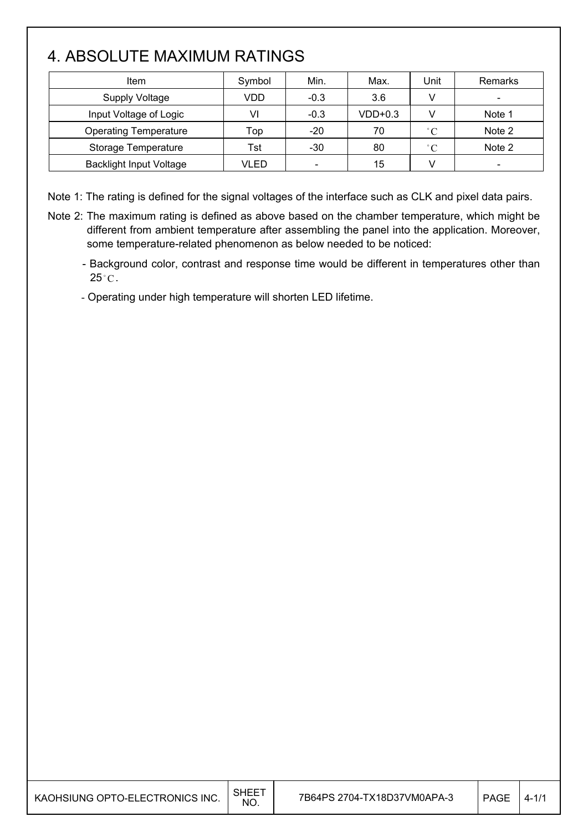## 4. ABSOLUTE MAXIMUM RATINGS

| Item                           | Symbol | Min.   | Max.    | Unit         | Remarks                  |
|--------------------------------|--------|--------|---------|--------------|--------------------------|
| <b>Supply Voltage</b>          | VDD    | $-0.3$ | 3.6     |              | $\overline{\phantom{0}}$ |
| Input Voltage of Logic         | VI     | $-0.3$ | VDD+0.3 |              | Note 1                   |
| <b>Operating Temperature</b>   | Top    | $-20$  | 70      | $^{\circ}$ C | Note 2                   |
| Storage Temperature            | Tst    | $-30$  | 80      | $^{\circ}$ C | Note 2                   |
| <b>Backlight Input Voltage</b> | VLED   |        | 15      |              |                          |

Note 1: The rating is defined for the signal voltages of the interface such as CLK and pixel data pairs.

- Note 2: The maximum rating is defined as above based on the chamber temperature, which might be different from ambient temperature after assembling the panel into the application. Moreover, some temperature-related phenomenon as below needed to be noticed:
	- Background color, contrast and response time would be different in temperatures other than  $25^{\circ}$ C.
	- Operating under high temperature will shorten LED lifetime.

| KAOHSIUNG OPTO-ELECTRONICS INC. | SHEE <sup>-</sup><br>NO. | 7B64PS 2704-TX18D37VM0APA-3 | <b>PAGE</b> | $4 - 1/1$ |
|---------------------------------|--------------------------|-----------------------------|-------------|-----------|
|---------------------------------|--------------------------|-----------------------------|-------------|-----------|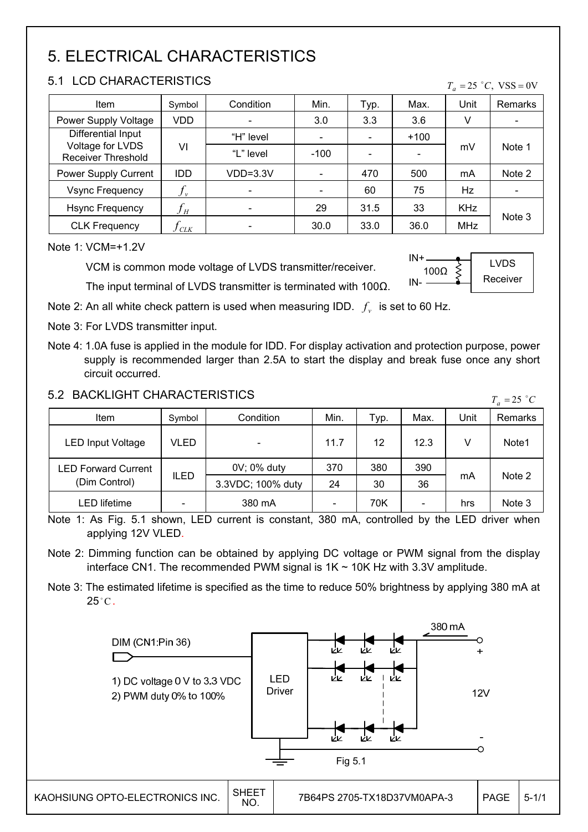# 5. ELECTRICAL CHARACTERISTICS

### 5.1 LCD CHARACTERISTICS

| Item                                          | Symbol                     | Condition                    | Min.   | Typ. | Max.   | Unit       | <b>Remarks</b> |
|-----------------------------------------------|----------------------------|------------------------------|--------|------|--------|------------|----------------|
| Power Supply Voltage                          | VDD                        |                              | 3.0    | 3.3  | 3.6    | v          |                |
| Differential Input                            |                            |                              |        |      | $+100$ |            |                |
| Voltage for LVDS<br><b>Receiver Threshold</b> | VI                         | "L" level                    | $-100$ |      |        | mV         | Note 1         |
| Power Supply Current                          | <b>IDD</b>                 | $VDD=3.3V$                   |        | 470  | 500    | mA         | Note 2         |
| <b>Vsync Frequency</b>                        | $f_{\nu}$                  | $\qquad \qquad \blacksquare$ |        | 60   | 75     | Hz         |                |
| <b>Hsync Frequency</b>                        | $f_{\scriptscriptstyle H}$ |                              | 29     | 31.5 | 33     | <b>KHz</b> |                |
| <b>CLK Frequency</b>                          | CLK                        |                              | 30.0   | 33.0 | 36.0   | <b>MHz</b> | Note 3         |

Note 1: VCM=+1.2V

VCM is common mode voltage of LVDS transmitter/receiver. The input terminal of LVDS transmitter is terminated with  $100\Omega$ .



 $T_a = 25$  °C, VSS = 0V

Note 2: An all white check pattern is used when measuring IDD.  $f<sub>v</sub>$  is set to 60 Hz.

Note 3: For LVDS transmitter input.

Note 4: 1.0A fuse is applied in the module for IDD. For display activation and protection purpose, power supply is recommended larger than 2.5A to start the display and break fuse once any short circuit occurred.

### 5.2 BACKLIGHT CHARACTERISTICS

| Item                       | Symbol                   | Condition         | Min. | Typ. | Max.                     | Unit | Remarks |
|----------------------------|--------------------------|-------------------|------|------|--------------------------|------|---------|
| <b>LED Input Voltage</b>   | VLED                     |                   | 11.7 | 12   | 12.3                     |      | Note1   |
| <b>LED Forward Current</b> |                          | 0V; 0% duty       | 370  | 380  | 390                      |      |         |
| (Dim Control)              | <b>ILED</b>              | 3.3VDC; 100% duty | 24   | 30   | 36                       | mA   | Note 2  |
| LED lifetime               | $\overline{\phantom{a}}$ | 380 mA            |      | 70K  | $\overline{\phantom{a}}$ | hrs  | Note 3  |

Note 1: As Fig. 5.1 shown, LED current is constant, 380 mA, controlled by the LED driver when applying 12V VLED.

Note 2: Dimming function can be obtained by applying DC voltage or PWM signal from the display interface CN1. The recommended PWM signal is  $1K \sim 10K$  Hz with 3.3V amplitude.

Note 3: The estimated lifetime is specified as the time to reduce 50% brightness by applying 380 mA at  $25^{\circ}$ C.



 $T_a = 25$  °C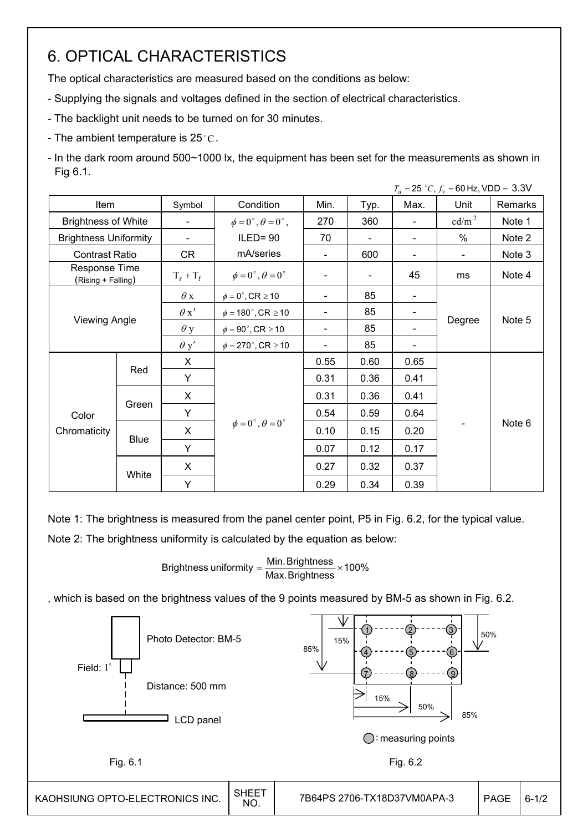## 6. OPTICAL CHARACTERISTICS

The optical characteristics are measured based on the conditions as below:

- Supplying the signals and voltages defined in the section of electrical characteristics.
- The backlight unit needs to be turned on for 30 minutes.
- The ambient temperature is 25 °C.
- In the dark room around 500~1000 lx, the equipment has been set for the measurements as shown in Fig 6.1.

|                                     |                      |                          |                                         |                          |      |                | $T_a = 25 °C$ , $f_v = 60$ Hz, VDD = 3.3V |         |
|-------------------------------------|----------------------|--------------------------|-----------------------------------------|--------------------------|------|----------------|-------------------------------------------|---------|
| Item                                |                      | Symbol                   | Condition                               | Min.                     | Typ. | Max.           | Unit                                      | Remarks |
| <b>Brightness of White</b>          |                      | $\overline{\phantom{a}}$ | $\phi = 0^{\circ}, \theta = 0^{\circ},$ | 270                      | 360  |                | cd/m <sup>2</sup>                         | Note 1  |
| <b>Brightness Uniformity</b>        |                      |                          | $ILED = 90$                             | 70                       |      |                | %                                         | Note 2  |
| <b>Contrast Ratio</b>               |                      | CR                       | mA/series                               | $\overline{\phantom{a}}$ | 600  |                |                                           | Note 3  |
| Response Time<br>(Rising + Falling) |                      | $T_r + T_f$              | $\phi = 0^{\circ}, \theta = 0^{\circ}$  |                          |      | 45             | ms                                        | Note 4  |
|                                     |                      | $\theta$ x               | $\phi = 0^\circ$ , CR $\geq 10$         | $\overline{\phantom{a}}$ | 85   | $\blacksquare$ |                                           |         |
|                                     |                      | $\theta x'$              | $\phi = 180^\circ$ , CR $\geq 10$       | $\qquad \qquad$          | 85   |                |                                           |         |
|                                     | <b>Viewing Angle</b> |                          | $\phi = 90^{\circ}$ , CR $\geq 10$      | $\qquad \qquad$          | 85   |                | Degree                                    | Note 5  |
|                                     |                      | $\theta$ y'              | $\phi = 270^\circ$ , CR $\geq 10$       |                          | 85   |                |                                           |         |
|                                     |                      | X                        |                                         | 0.55                     | 0.60 | 0.65           |                                           |         |
|                                     | Red                  | Y                        |                                         | 0.31                     | 0.36 | 0.41           |                                           |         |
|                                     |                      | X                        |                                         | 0.31                     | 0.36 | 0.41           |                                           |         |
| Color                               | Green                | Y                        |                                         | 0.54                     | 0.59 | 0.64           |                                           |         |
| Chromaticity                        |                      | X                        | $\phi = 0^{\circ}, \theta = 0^{\circ}$  | 0.10                     | 0.15 | 0.20           |                                           | Note 6  |
|                                     | <b>Blue</b>          | Y                        |                                         | 0.07                     | 0.12 | 0.17           |                                           |         |
|                                     |                      | X                        |                                         | 0.27                     | 0.32 | 0.37           |                                           |         |
|                                     | White<br>Y           |                          |                                         | 0.29                     | 0.34 | 0.39           |                                           |         |

Note 1: The brightness is measured from the panel center point, P5 in Fig. 6.2, for the typical value.

Note 2: The brightness uniformity is calculated by the equation as below:

Brightness uniformity  $=\dfrac{\mathsf{Min}.\mathsf{Brightness}}{\mathsf{Max}.\mathsf{Brightness}}\times\mathsf{100\%}$ 

, which is based on the brightness values of the 9 points measured by BM-5 as shown in Fig. 6.2.

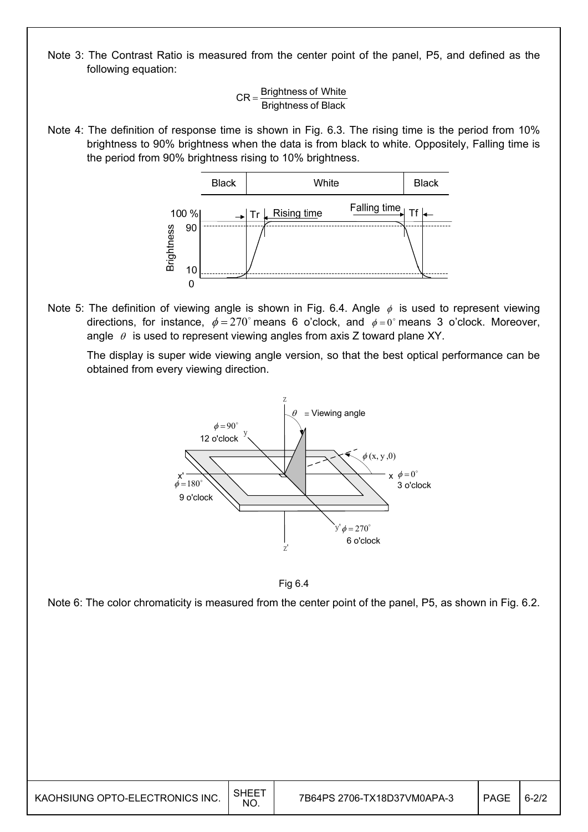Note 3: The Contrast Ratio is measured from the center point of the panel, P5, and defined as the following equation:

 $CR =$  Brightness of White<br>Brightness of Black

Note 4: The definition of response time is shown in Fig. 6.3. The rising time is the period from 10% brightness to 90% brightness when the data is from black to white. Oppositely, Falling time is the period from 90% brightness rising to 10% brightness.



Note 5: The definition of viewing angle is shown in Fig. 6.4. Angle  $\phi$  is used to represent viewing directions, for instance,  $\phi = 270^\circ$  means 6 o'clock, and  $\phi = 0^\circ$  means 3 o'clock. Moreover, angle  $\theta$  is used to represent viewing angles from axis Z toward plane XY.

 The display is super wide viewing angle version, so that the best optical performance can be obtained from every viewing direction.



Fig 6.4

Note 6: The color chromaticity is measured from the center point of the panel, P5, as shown in Fig. 6.2.

| KAOHSIUNG OPTO-ELECTRONICS INC. | SHEE <sup>-</sup><br>NO. | 7B64PS 2706-TX18D37VM0APA-3 | PAGE | $6 - 212$ |
|---------------------------------|--------------------------|-----------------------------|------|-----------|
|---------------------------------|--------------------------|-----------------------------|------|-----------|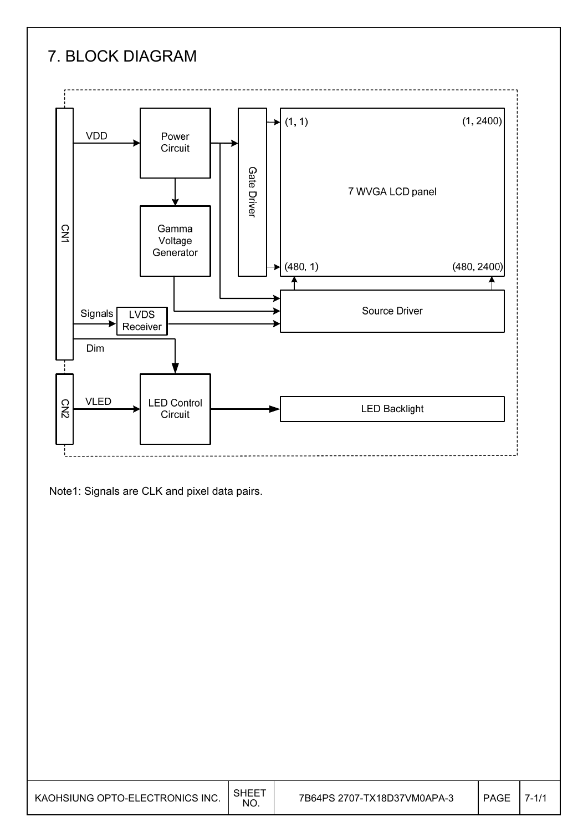## 7. BLOCK DIAGRAM



Note1: Signals are CLK and pixel data pairs.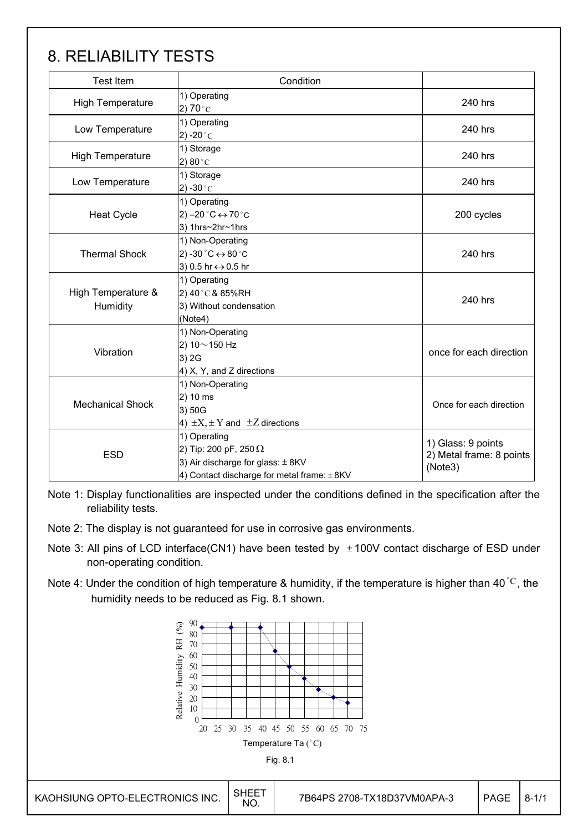## 8. RELIABILITY TESTS

| <b>Test Item</b>               | Condition                                                                                                                                |                                                           |
|--------------------------------|------------------------------------------------------------------------------------------------------------------------------------------|-----------------------------------------------------------|
| <b>High Temperature</b>        | 1) Operating<br>2) $70^{\circ}$ C                                                                                                        | 240 hrs                                                   |
| Low Temperature                | 1) Operating<br>2) -20 $^{\circ}$ C                                                                                                      | 240 hrs                                                   |
| <b>High Temperature</b>        | 1) Storage<br>2) 80 $^{\circ}$ C                                                                                                         | 240 hrs                                                   |
| Low Temperature                | 1) Storage<br>2) -30 $^{\circ}$ C                                                                                                        | 240 hrs                                                   |
| <b>Heat Cycle</b>              | 1) Operating<br>2) $-20$ °C $\leftrightarrow$ 70 °C<br>3) 1hrs~2hr~1hrs                                                                  | 200 cycles                                                |
| <b>Thermal Shock</b>           | 1) Non-Operating<br>2) -30 $^{\circ}$ C $\leftrightarrow$ 80 $^{\circ}$ C<br>3) 0.5 hr ↔ 0.5 hr                                          | 240 hrs                                                   |
| High Temperature &<br>Humidity | 1) Operating<br>2) 40°C & 85%RH<br>3) Without condensation<br>(Note4)                                                                    | 240 hrs                                                   |
| Vibration                      | 1) Non-Operating<br>2) $10 \sim 150$ Hz<br>3) 2G<br>4) X, Y, and Z directions                                                            | once for each direction                                   |
| <b>Mechanical Shock</b>        | 1) Non-Operating<br>2) 10 ms<br>3) 50G<br>4) $\pm X$ , $\pm Y$ and $\pm Z$ directions                                                    | Once for each direction                                   |
| <b>ESD</b>                     | 1) Operating<br>2) Tip: 200 pF, 250 $\Omega$<br>3) Air discharge for glass: $\pm$ 8KV<br>4) Contact discharge for metal frame: $\pm$ 8KV | 1) Glass: 9 points<br>2) Metal frame: 8 points<br>(Note3) |

Note 1: Display functionalities are inspected under the conditions defined in the specification after the reliability tests.

- Note 2: The display is not guaranteed for use in corrosive gas environments.
- Note 3: All pins of LCD interface(CN1) have been tested by  $\pm$  100V contact discharge of ESD under non-operating condition.
- Note 4: Under the condition of high temperature & humidity, if the temperature is higher than 40<sup>°C</sup>, the humidity needs to be reduced as Fig. 8.1 shown.

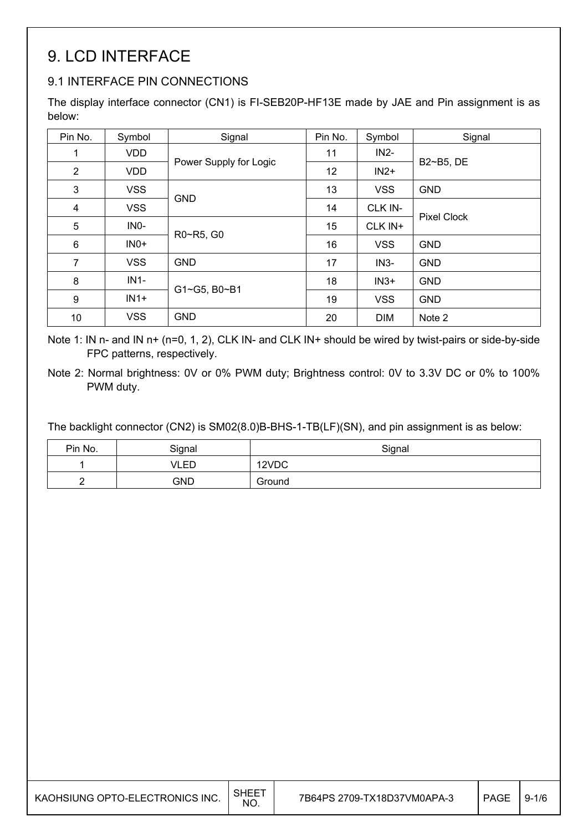## 9. LCD INTERFACE

## 9.1 INTERFACE PIN CONNECTIONS

The display interface connector (CN1) is FI-SEB20P-HF13E made by JAE and Pin assignment is as below:

| Pin No.                 | Symbol     | Signal                 | Pin No. | Symbol     | Signal             |
|-------------------------|------------|------------------------|---------|------------|--------------------|
| 1                       | <b>VDD</b> |                        | 11      | $IN2-$     |                    |
| $\overline{2}$          | <b>VDD</b> | Power Supply for Logic | 12      | $IN2+$     | B2~B5, DE          |
| $\mathfrak{B}$          | <b>VSS</b> | <b>GND</b>             | 13      | <b>VSS</b> | <b>GND</b>         |
| $\overline{\mathbf{4}}$ | <b>VSS</b> |                        | 14      | CLK IN-    |                    |
| 5                       | INO-       | R0~R5, G0              | 15      | CLK IN+    | <b>Pixel Clock</b> |
| $\,6$                   | $INO+$     |                        | 16      | <b>VSS</b> | <b>GND</b>         |
| $\overline{7}$          | <b>VSS</b> | <b>GND</b>             | 17      | $IN3-$     | <b>GND</b>         |
| 8                       | $IN1-$     | G1~G5, B0~B1           | 18      | $IN3+$     | <b>GND</b>         |
| 9                       | $IN1+$     |                        | 19      | <b>VSS</b> | <b>GND</b>         |
| 10                      | <b>VSS</b> | <b>GND</b>             | 20      | <b>DIM</b> | Note 2             |

Note 1: IN n- and IN n+ (n=0, 1, 2), CLK IN- and CLK IN+ should be wired by twist-pairs or side-by-side FPC patterns, respectively.

Note 2: Normal brightness: 0V or 0% PWM duty; Brightness control: 0V to 3.3V DC or 0% to 100% PWM duty.

The backlight connector (CN2) is SM02(8.0)B-BHS-1-TB(LF)(SN), and pin assignment is as below:

| Pin No. | Signal     | Signal |
|---------|------------|--------|
|         | VLED       | 12VDC  |
|         | <b>GND</b> | Ground |

| KAOHSIUNG OPTO-ELECTRONICS INC. | $SHEE$ <sup>T</sup><br><b>NO</b> | 7B64PS 2709-TX18D37VM0APA-3 | PAGE | $9 - 1/6$ |
|---------------------------------|----------------------------------|-----------------------------|------|-----------|
|---------------------------------|----------------------------------|-----------------------------|------|-----------|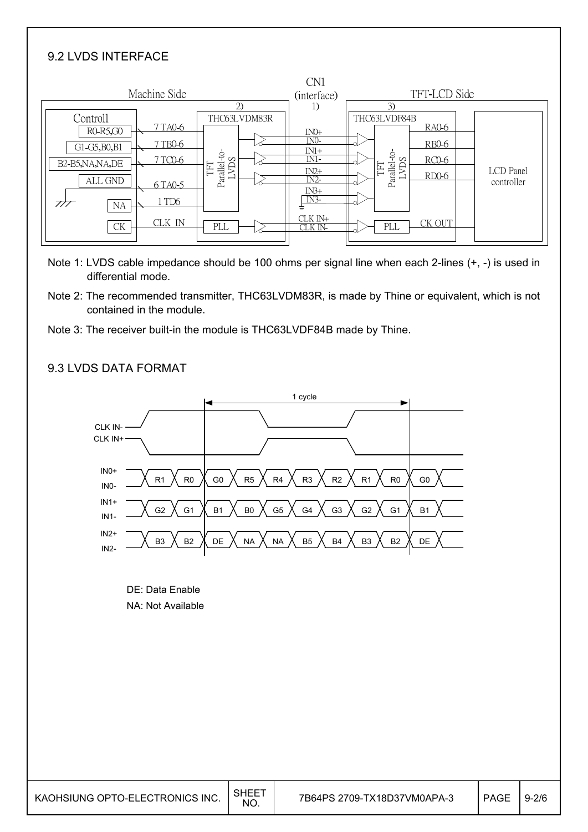### 9.2 LVDS INTERFACE

|                              |                   | CN1                          |                             |            |
|------------------------------|-------------------|------------------------------|-----------------------------|------------|
| Machine Side                 |                   | (interface)                  | TFT-LCD Side                |            |
|                              | $\mathbf{2}$      | $\left( \frac{1}{2} \right)$ | 3)                          |            |
| Controll                     | THC63LVDM83R      |                              | THC63LVDF84B                |            |
| 7 TA0-6<br>R0-R5,G0          |                   | $IN0+$                       | RA0-6                       |            |
| 7 TB0-6<br>G1-G5, B0, B1     |                   | IN <sub>O</sub><br>$IN1+$    | <b>RB0-6</b>                |            |
| 7 TCO-6<br>B2-B5, NA, NA, DE | <b>ZC</b>         | $IN1-$                       | $RC0-6$<br>DS               |            |
| ALL GND                      | Parallel-to<br>١È | $IN2+$<br>$IN2-$             | Parallel-to<br>E<br>$RD0-6$ | LCD Panel  |
| 6 TA0-5                      |                   | $IN3+$                       |                             | controller |
| l TD6<br>777<br>NA           |                   | $IN3-$<br>≐                  |                             |            |
| CLK IN<br>CK                 | PLL               | CLK IN+                      | CK OUT<br>PLL               |            |
|                              |                   | CLK IN-                      |                             |            |

- Note 1: LVDS cable impedance should be 100 ohms per signal line when each 2-lines (+, -) is used in differential mode.
- Note 2: The recommended transmitter, THC63LVDM83R, is made by Thine or equivalent, which is not contained in the module.
- Note 3: The receiver built-in the module is THC63LVDF84B made by Thine.



## 9.3 LVDS DATA FORMAT

DE: Data Enable NA: Not Available

| KAOHSIUNG OPTO-ELECTRONICS INC. | SHEE1<br>NO. | 7B64PS 2709-TX18D37VM0APA-3 | PAGE | $9 - 2/6$ |
|---------------------------------|--------------|-----------------------------|------|-----------|
|---------------------------------|--------------|-----------------------------|------|-----------|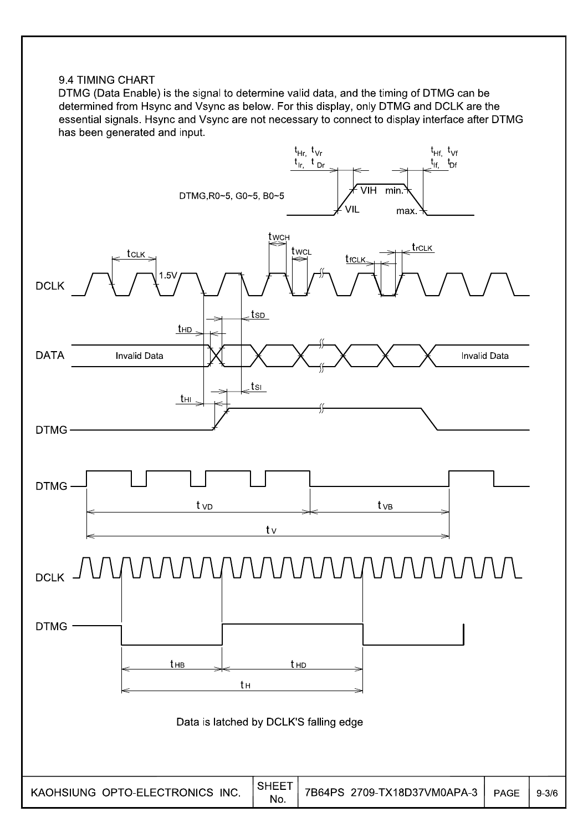#### 9.4 TIMING CHART

DTMG (Data Enable) is the signal to determine valid data, and the timing of DTMG can be determined from Hsync and Vsync as below. For this display, only DTMG and DCLK are the essential signals. Hsync and Vsync are not necessary to connect to display interface after DTMG has been generated and input.

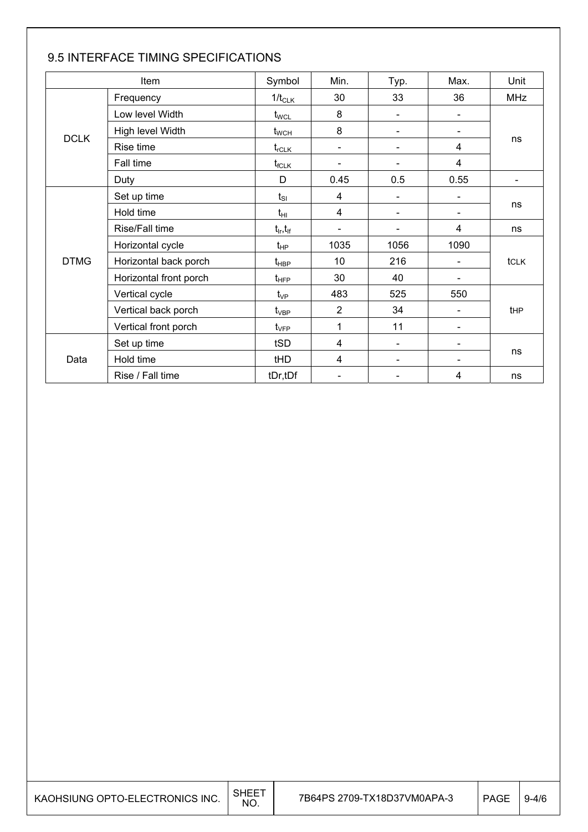## 9.5 INTERFACE TIMING SPECIFICATIONS

| Item        |                        | Symbol                         | Min.                     | Typ.                     | Max.           | Unit            |  |
|-------------|------------------------|--------------------------------|--------------------------|--------------------------|----------------|-----------------|--|
|             | Frequency              | $1/t_{CLK}$                    | 30                       | 33                       | 36             | <b>MHz</b>      |  |
|             | Low level Width        | $t_{\scriptstyle\rm WCL}$      | 8                        | $\overline{\phantom{a}}$ |                |                 |  |
| <b>DCLK</b> | High level Width       | $t_{\text{WCH}}$               | 8                        | $\overline{\phantom{a}}$ |                |                 |  |
|             | Rise time              | $t_{\sf rCLK}$                 | $\overline{\phantom{a}}$ | -                        | 4              | ns              |  |
|             | Fall time              | $t_{\sf fCLK}$                 |                          |                          | $\overline{4}$ |                 |  |
|             | Duty                   | D                              | 0.45                     | 0.5                      | 0.55           |                 |  |
|             | Set up time            | $t_{SI}$                       | 4                        |                          |                |                 |  |
|             | Hold time              | $t_{HI}$                       | 4                        | Ξ.                       |                | ns              |  |
|             | Rise/Fall time         | $t_{\text{lr}}, t_{\text{lf}}$ | $\overline{a}$           |                          | 4              | ns              |  |
|             | Horizontal cycle       | $t_{HP}$                       | 1035                     | 1056                     | 1090           |                 |  |
| <b>DTMG</b> | Horizontal back porch  | $t_{\sf HBP}$                  | 10                       | 216                      |                | tclk            |  |
|             | Horizontal front porch | $t_{\sf HFP}$                  | 30                       | 40                       |                |                 |  |
|             | Vertical cycle         | $t_{\rm VP}$                   | 483                      | 525                      | 550            |                 |  |
|             | Vertical back porch    | $t_{\rm VBP}$                  | $\overline{2}$           | 34                       |                | t <sub>HP</sub> |  |
|             | Vertical front porch   | $t_{\rm VFP}$                  | 1                        | 11                       |                |                 |  |
|             | Set up time            | tSD                            | 4                        |                          |                |                 |  |
| Data        | Hold time              | tHD                            | 4                        | $\overline{\phantom{0}}$ |                | ns              |  |
|             | Rise / Fall time       | tDr,tDf                        |                          |                          | 4              | ns              |  |

| KAOHSIUNG OPTO-ELECTRONICS INC. | <b>SHEE</b><br>NO. | 7B64PS 2709-TX18D37VM0APA-3 | <b>PAGE</b> | $9 - 4/6$ |
|---------------------------------|--------------------|-----------------------------|-------------|-----------|
|---------------------------------|--------------------|-----------------------------|-------------|-----------|

T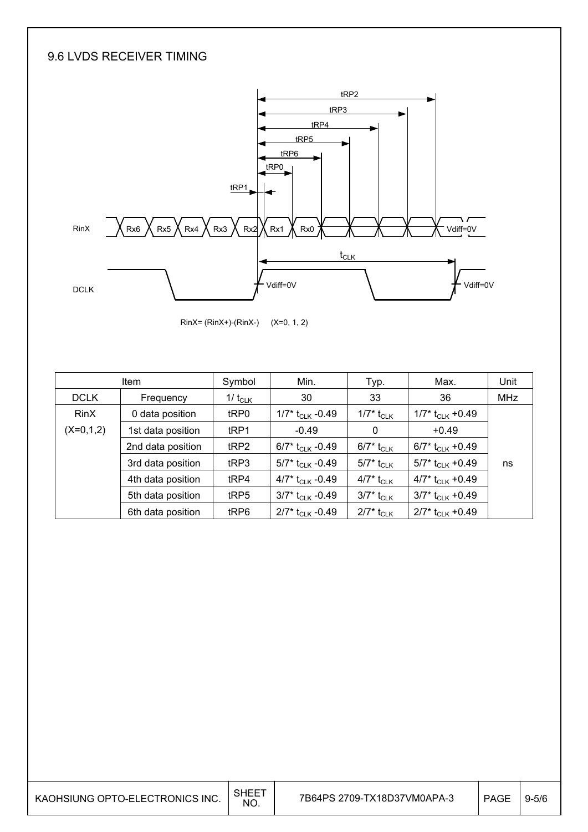### 9.6 LVDS RECEIVER TIMING



RinX= (RinX+)-(RinX-) (X=0, 1, 2)

|             | <b>Item</b>       | Symbol           | Min.                           | Typ.                     | Max.                           | Unit       |
|-------------|-------------------|------------------|--------------------------------|--------------------------|--------------------------------|------------|
| <b>DCLK</b> | Frequency         | 1/ $t_{CLK}$     | 30                             | 33                       | 36                             | <b>MHz</b> |
| <b>RinX</b> | 0 data position   | tRP0             | $1/7$ * t <sub>CLK</sub> -0.49 | 1/7* t <sub>CLK</sub>    | 1/7* $t_{CLK}$ +0.49           |            |
| $(X=0,1,2)$ | 1st data position | tRP1             | $-0.49$                        | $\mathbf 0$              | $+0.49$                        |            |
|             | 2nd data position | tRP2             | 6/7* $t_{CLK}$ -0.49           | 6/7* t <sub>CLK</sub>    | 6/7* $t_{CLK}$ +0.49           |            |
|             | 3rd data position | t <sub>RP3</sub> | 5/7* $t_{CLK}$ -0.49           | 5/7* t <sub>CLK</sub>    | 5/7* $t_{CLK}$ +0.49           | ns         |
|             | 4th data position | tRP4             | 4/7* $t_{CLK}$ -0.49           | 4/7* t <sub>CLK</sub>    | 4/7* $t_{CLK}$ +0.49           |            |
|             | 5th data position | tRP5             | $3/7$ * t <sub>CLK</sub> -0.49 | 3/7* t <sub>CLK</sub>    | $3/7$ * t <sub>CLK</sub> +0.49 |            |
|             | 6th data position | tRP6             | $2/7$ * t <sub>CLK</sub> -0.49 | $2/7^*$ t <sub>CLK</sub> | $2/7$ * t <sub>CLK</sub> +0.49 |            |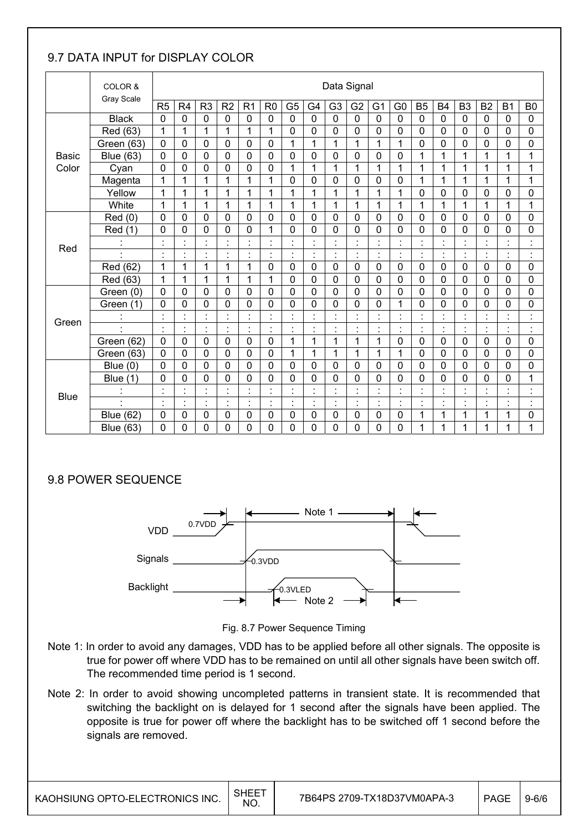## 9.7 DATA INPUT for DISPLAY COLOR

|              | COLOR &<br><b>Gray Scale</b> |                | Data Signal          |                                  |                           |                                            |                |                                  |                           |                                  |                     |                                  |                                  |                     |              |                                  |                                |                |                      |
|--------------|------------------------------|----------------|----------------------|----------------------------------|---------------------------|--------------------------------------------|----------------|----------------------------------|---------------------------|----------------------------------|---------------------|----------------------------------|----------------------------------|---------------------|--------------|----------------------------------|--------------------------------|----------------|----------------------|
|              |                              | R <sub>5</sub> | R <sub>4</sub>       | R <sub>3</sub>                   | R <sub>2</sub>            | R <sub>1</sub>                             | R <sub>0</sub> | G <sub>5</sub>                   | G4                        | G <sub>3</sub>                   | G <sub>2</sub>      | G <sub>1</sub>                   | G <sub>0</sub>                   | <b>B5</b>           | <b>B4</b>    | B <sub>3</sub>                   | <b>B2</b>                      | <b>B1</b>      | B <sub>0</sub>       |
|              | <b>Black</b>                 | $\mathbf 0$    | 0                    | 0                                | $\mathbf 0$               | $\mathbf 0$                                | $\mathbf 0$    | $\overline{0}$                   | $\overline{0}$            | $\mathbf 0$                      | $\mathbf 0$         | $\mathbf 0$                      | $\mathbf 0$                      | $\mathbf 0$         | $\mathbf 0$  | $\mathbf 0$                      | $\mathbf 0$                    | $\mathbf 0$    | $\mathbf 0$          |
|              | Red (63)                     | 1              | 1                    | 1                                | 1                         | 1                                          | 1              | $\mathbf 0$                      | 0                         | 0                                | $\mathbf 0$         | 0                                | 0                                | 0                   | 0            | $\mathbf 0$                      | 0                              | $\Omega$       | 0                    |
|              | Green (63)                   | $\mathbf 0$    | $\mathbf 0$          | 0                                | $\mathbf 0$               | 0                                          | $\mathbf 0$    | 1                                | $\mathbf{1}$              | 1                                | $\overline{1}$      | 1                                | 1                                | $\mathbf 0$         | 0            | $\mathbf 0$                      | 0                              | $\Omega$       | $\mathbf 0$          |
| <b>Basic</b> | <b>Blue (63)</b>             | $\mathbf 0$    | $\mathbf 0$          | 0                                | $\mathbf 0$               | $\mathbf 0$                                | 0              | $\overline{0}$                   | $\mathbf 0$               | 0                                | $\mathbf 0$         | $\mathbf 0$                      | 0                                | 1                   | 1            | 1                                | 1                              | 1              | 1                    |
| Color        | Cyan                         | $\mathbf 0$    | 0                    | 0                                | $\mathbf 0$               | $\mathbf 0$                                | $\mathbf 0$    | 1                                | $\mathbf 1$               | $\mathbf{1}$                     | 1                   | 1                                | 1                                | 1                   | 1            | 1                                | 1                              | 1              | 1                    |
|              | Magenta                      | 1              | 1                    | 1                                | 1                         | 1                                          | 1              | $\mathbf 0$                      | $\mathbf 0$               | 0                                | 0                   | 0                                | 0                                | 1                   | 1            | 1                                | 1                              | 1              | 1                    |
|              | Yellow                       | 1              | 1                    | 1                                | 1                         | 1                                          | 1              | 1                                | 1                         | 1                                | 1                   | 1                                | 1                                | 0                   | 0            | $\mathbf 0$                      | 0                              | 0              | 0                    |
|              | White                        | 1              | 1                    | 1                                | 1                         | 1                                          | 1              | 1                                | 1                         | 1                                | 1                   | 1                                | 1                                | 1                   | 1            | 1                                | 1                              | 1              | 1                    |
|              | Red(0)                       | $\mathbf{0}$   | 0                    | 0                                | 0                         | 0                                          | 0              | 0                                | 0                         | 0                                | 0                   | 0                                | 0                                | 0                   | 0            | $\mathbf{0}$                     | 0                              | $\mathbf 0$    | 0                    |
|              | Red (1)                      | $\mathbf{0}$   | 0                    | 0                                | 0                         | 0                                          | 1              | 0                                | $\mathbf 0$               | 0                                | $\mathbf 0$         | 0                                | 0                                | 0                   | 0            | $\mathbf 0$                      | 0                              | $\mathbf 0$    | 0                    |
| Red          |                              |                | $\cdot$              | $\blacksquare$<br>٠              | $\cdot$                   | $\cdot$                                    |                | $\cdot$                          | $\cdot$                   |                                  | $\blacksquare$      |                                  | $\blacksquare$<br>$\blacksquare$ | ÷.                  |              |                                  | $\blacksquare$                 |                |                      |
|              |                              | $\cdot$        |                      | $\blacksquare$                   | $\cdot$                   | $\cdot$                                    |                | $\cdot$                          | $\cdot$                   | $\ddot{\phantom{0}}$             | $\cdot$             | $\cdot$                          | $\blacksquare$                   |                     | $\cdot$      | $\cdot$                          | $\blacksquare$                 | $\blacksquare$ | $\cdot$              |
|              | Red (62)                     | 1              | 1                    | 1                                | 1                         | 1                                          | $\mathbf 0$    | 0                                | $\mathbf 0$               | 0                                | $\mathbf 0$         | $\mathbf 0$                      | $\mathbf 0$                      | 0                   | 0            | $\mathbf 0$                      | 0                              | $\mathbf 0$    | 0                    |
|              | Red (63)                     | 1              | 1                    | 1                                | 1                         | 1                                          | 1              | 0                                | $\mathbf 0$               | 0                                | $\mathbf 0$         | 0                                | $\mathbf 0$                      | $\mathbf 0$         | $\mathbf 0$  | $\mathbf 0$                      | $\overline{0}$                 | $\mathbf 0$    | $\mathbf 0$          |
|              | Green (0)                    | $\mathbf 0$    | 0                    | 0                                | $\mathbf 0$               | 0                                          | 0              | 0                                | $\mathbf 0$               | 0                                | 0                   | 0                                | 0                                | 0                   | 0            | $\mathbf 0$                      | 0                              | $\Omega$       | 0                    |
|              | Green (1)                    | $\mathbf 0$    | 0                    | 0                                | $\mathbf 0$               | $\overline{0}$                             | $\overline{0}$ | 0                                | 0                         | 0                                | $\mathbf 0$         | 0                                | 1                                | 0                   | 0            | $\overline{0}$                   | $\mathbf 0$                    | 0              | $\mathbf 0$          |
| Green        |                              |                | $\cdot$              | $\blacksquare$                   | $\cdot$                   | $\cdot$                                    |                | $\cdot$                          | $\cdot$                   |                                  | $\blacksquare$      | $\cdot$                          | $\blacksquare$                   | $\blacksquare$      |              | $\blacksquare$                   | $\blacksquare$<br>$\mathbf{r}$ |                | $\cdot$<br>×.        |
|              |                              | $\blacksquare$ | ò.                   | $\blacksquare$<br>$\bullet$      | $\cdot$                   | $\cdot$                                    | $\blacksquare$ | $\blacksquare$                   | $\blacksquare$            | $\blacksquare$                   | $\blacksquare$      | $\blacksquare$                   | $\blacksquare$<br>$\blacksquare$ | $\blacksquare$      | $\cdot$      | $\blacksquare$                   | $\blacksquare$                 | $\cdot$        | $\cdot$<br>٠         |
|              | Green (62)                   | $\mathbf 0$    | 0                    | 0                                | $\mathbf 0$               | 0                                          | 0              | 1                                | 1                         | 1                                | 1                   | 1                                | 0                                | 0                   | 0            | $\mathbf 0$                      | 0                              | $\mathbf 0$    | $\mathbf 0$          |
|              | (63)<br>Green                | $\mathbf 0$    | 0                    | 0                                | $\mathbf 0$               | $\mathbf 0$                                | $\mathbf 0$    | 1                                | 1                         | 1                                | 1                   | 1                                | 1                                | 0                   | 0            | $\mathbf 0$                      | 0                              | $\Omega$       | 0                    |
|              | Blue $(0)$                   | $\mathbf 0$    | 0                    | 0                                | $\mathbf 0$               | $\mathbf 0$                                | 0              | $\mathbf 0$                      | $\mathbf 0$               | 0                                | $\mathbf 0$         | 0                                | $\mathbf 0$                      | 0                   | 0            | $\mathbf 0$                      | $\mathbf 0$                    | $\Omega$       | 0                    |
|              | Blue $(1)$                   | $\mathbf 0$    | 0                    | 0                                | $\mathbf 0$               | 0                                          | 0              | 0                                | 0                         | 0                                | 0                   | 0                                | 0                                | 0                   | 0            | $\mathbf 0$                      | 0                              | $\mathbf 0$    | 1                    |
| <b>Blue</b>  |                              | $\blacksquare$ | $\ddot{\phantom{a}}$ | $\ddot{\phantom{a}}$             | $\blacksquare$            | $\blacksquare$<br>$\overline{\phantom{a}}$ |                | $\ddot{\cdot}$                   |                           | $\ddot{\cdot}$                   | $\cdot$             | $\blacksquare$<br>$\lambda$      | $\blacksquare$<br>$\blacksquare$ | t                   |              | $\blacksquare$<br>$\blacksquare$ | t                              |                | $\blacksquare$<br>ä, |
|              |                              | $\cdot$        | $\blacksquare$<br>٠  | $\blacksquare$<br>$\blacksquare$ | $\cdot$<br>$\blacksquare$ | $\cdot$<br>٠                               | $\blacksquare$ | $\blacksquare$<br>$\blacksquare$ | $\cdot$<br>$\blacksquare$ | $\blacksquare$<br>$\blacksquare$ | $\blacksquare$<br>٠ | $\blacksquare$<br>$\blacksquare$ | $\blacksquare$<br>٠              | $\blacksquare$<br>٠ | $\cdot$<br>٠ | $\blacksquare$<br>$\blacksquare$ | $\blacksquare$<br>$\bullet$    |                | $\cdot$<br>٠         |
|              | <b>Blue (62)</b>             | $\mathbf 0$    | 0                    | 0                                | $\mathbf 0$               | $\mathbf 0$                                | 0              | $\mathbf 0$                      | $\mathbf 0$               | 0                                | $\mathbf 0$         | 0                                | 0                                | 1                   | 1            | 1                                | 1                              | 1              | 0                    |
|              | <b>Blue (63)</b>             | 0              | 0                    | 0                                | 0                         | 0                                          | 0              | 0                                | 0                         | 0                                | 0                   | 0                                | 0                                | 1                   | 1            | 1                                | 1                              | 1              | 1                    |

## 9.8 POWER SEQUENCE



#### Fig. 8.7 Power Sequence Timing

- Note 1: In order to avoid any damages, VDD has to be applied before all other signals. The opposite is true for power off where VDD has to be remained on until all other signals have been switch off. The recommended time period is 1 second.
- Note 2: In order to avoid showing uncompleted patterns in transient state. It is recommended that switching the backlight on is delayed for 1 second after the signals have been applied. The opposite is true for power off where the backlight has to be switched off 1 second before the signals are removed.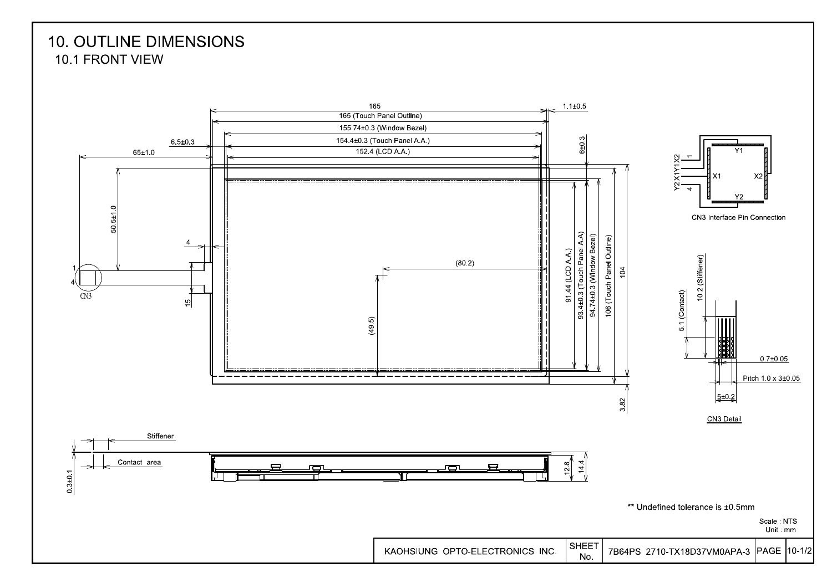## **10. OUTLINE DIMENSIONS** 10.1 FRONT VIEW

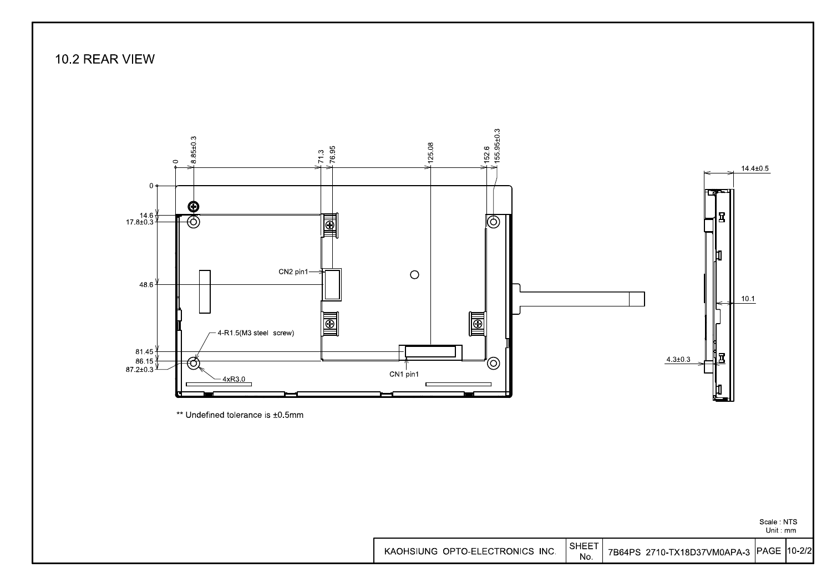## 10.2 REAR VIEW



Scale NTS Unit mm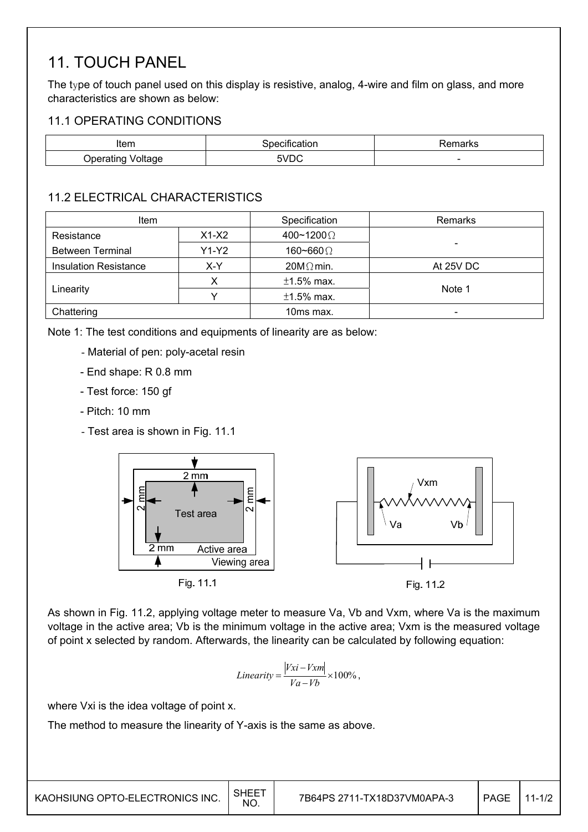## 11. TOUCH PANEL

The type of touch panel used on this display is resistive, analog, 4-wire and film on glass, and more characteristics are shown as below:

## 11.1 OPERATING CONDITIONS

| Item                                     | $\cdots$<br>cilication | παικο                    |  |  |
|------------------------------------------|------------------------|--------------------------|--|--|
| $-$ 4 $ -$<br>anrtic<br>$-$<br>۱r<br>no. | v<br>ັບ                | $\overline{\phantom{a}}$ |  |  |

## 11.2 ELECTRICAL CHARACTERISTICS

| <b>Item</b>                  |         | Specification      | Remarks   |
|------------------------------|---------|--------------------|-----------|
| Resistance                   | $X1-X2$ | 400~1200 $\Omega$  |           |
| <b>Between Terminal</b>      | $Y1-Y2$ | $160 - 660 \Omega$ | -         |
| <b>Insulation Resistance</b> | X-Y     | $20M\Omega$ min.   | At 25V DC |
|                              |         | $±1.5\%$ max.      |           |
| Linearity                    |         | $±1.5\%$ max.      | Note 1    |
| Chattering                   |         | 10ms max.          | -         |

Note 1: The test conditions and equipments of linearity are as below:

- Material of pen: poly-acetal resin
- End shape: R 0.8 mm
- Test force: 150 gf
- Pitch: 10 mm
- Test area is shown in Fig. 11.1



As shown in Fig. 11.2, applying voltage meter to measure Va, Vb and Vxm, where Va is the maximum voltage in the active area; Vb is the minimum voltage in the active area; Vxm is the measured voltage of point x selected by random. Afterwards, the linearity can be calculated by following equation:

$$
Linearity = \frac{|Vxi - Vxm|}{Va - Vb} \times 100\%,
$$

where Vxi is the idea voltage of point x.

The method to measure the linearity of Y-axis is the same as above.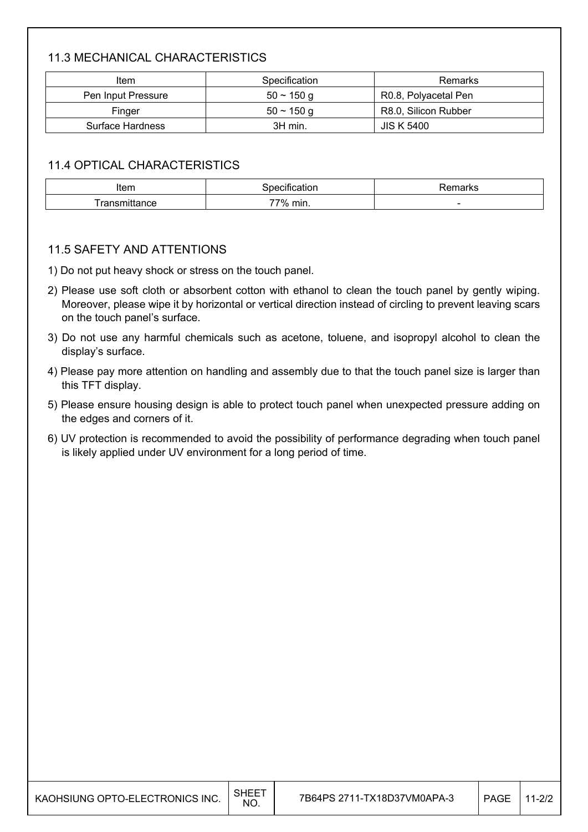## 11.3 MECHANICAL CHARACTERISTICS

| Item               | Specification   | Remarks              |
|--------------------|-----------------|----------------------|
| Pen Input Pressure | $50 - 150$ g    | R0.8, Polyacetal Pen |
| Finger             | $50 \sim 150$ a | R8.0, Silicon Rubber |
| Surface Hardness   | 3H min.         | <b>JIS K 5400</b>    |

#### 11.4 OPTICAL CHARACTERISTICS

| Item                      |             | ™idi NJ                  |
|---------------------------|-------------|--------------------------|
| $    +$ $+$ $  -$<br>יוטכ | 77%<br>min. | $\overline{\phantom{a}}$ |

#### 11.5 SAFETY AND ATTENTIONS

1) Do not put heavy shock or stress on the touch panel.

- 2) Please use soft cloth or absorbent cotton with ethanol to clean the touch panel by gently wiping. Moreover, please wipe it by horizontal or vertical direction instead of circling to prevent leaving scars on the touch panel's surface.
- 3) Do not use any harmful chemicals such as acetone, toluene, and isopropyl alcohol to clean the display's surface.
- 4) Please pay more attention on handling and assembly due to that the touch panel size is larger than this TFT display.
- 5) Please ensure housing design is able to protect touch panel when unexpected pressure adding on the edges and corners of it.
- 6) UV protection is recommended to avoid the possibility of performance degrading when touch panel is likely applied under UV environment for a long period of time.

| KAOHSIUNG OPTO-ELECTRONICS INC. | , SHEET<br>NO. | 7B64PS 2711-TX18D37VM0APA-3 | <b>PAGE</b> | 1-2/2 |
|---------------------------------|----------------|-----------------------------|-------------|-------|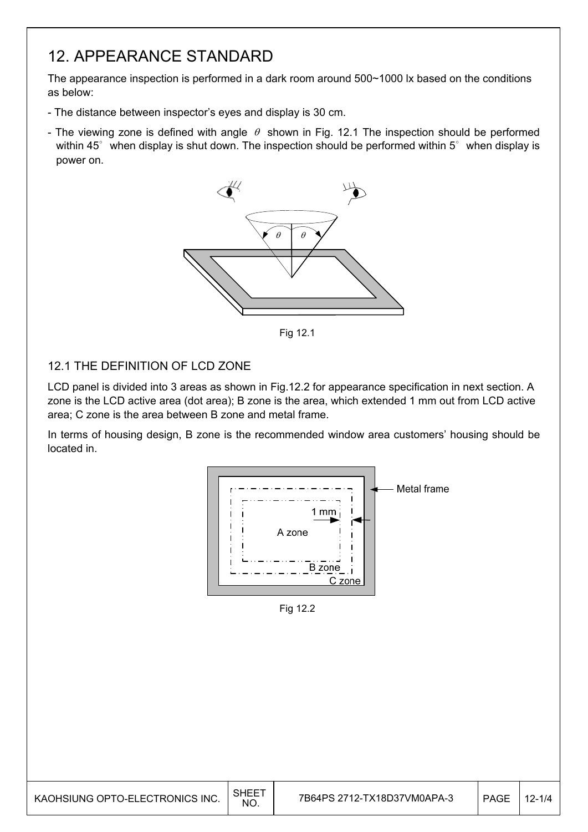## 12. APPEARANCE STANDARD

The appearance inspection is performed in a dark room around 500~1000 lx based on the conditions as below:

- The distance between inspector's eyes and display is 30 cm.
- The viewing zone is defined with angle  $\theta$  shown in Fig. 12.1 The inspection should be performed within 45 $^{\circ}$  when display is shut down. The inspection should be performed within 5 $^{\circ}$  when display is power on.



Fig. 12.1 Fig 12.1

### 12.1 THE DEFINITION OF LCD ZONE

LCD panel is divided into 3 areas as shown in Fig.12.2 for appearance specification in next section. A zone is the LCD active area (dot area); B zone is the area, which extended 1 mm out from LCD active area; C zone is the area between B zone and metal frame.

In terms of housing design, B zone is the recommended window area customers' housing should be located in.



Fig 12.2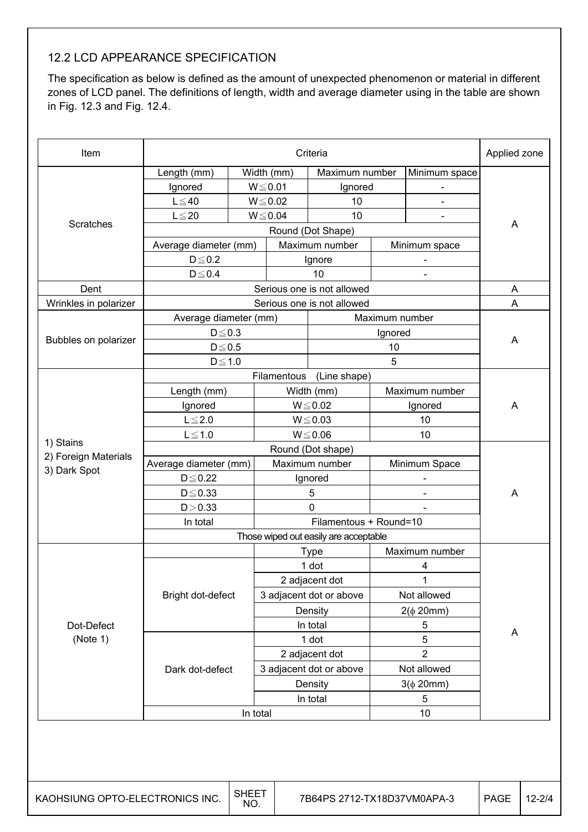## 12.2 LCD APPEARANCE SPECIFICATION

The specification as below is defined as the amount of unexpected phenomenon or material in different zones of LCD panel. The definitions of length, width and average diameter using in the table are shown in Fig. 12.3 and Fig. 12.4.

| Item                                 |                       |          |              | Criteria                              |                |                          | Applied zone |  |
|--------------------------------------|-----------------------|----------|--------------|---------------------------------------|----------------|--------------------------|--------------|--|
|                                      | Length (mm)           |          | Width (mm)   | Maximum number                        |                | Minimum space            |              |  |
|                                      | Ignored               |          | $W \le 0.01$ | Ignored                               |                |                          |              |  |
|                                      | $L \leq 40$           |          | $W \le 0.02$ | 10                                    |                |                          |              |  |
|                                      | $L \leq 20$           |          | $W \le 0.04$ | 10                                    |                |                          |              |  |
| Scratches                            |                       | A        |              |                                       |                |                          |              |  |
|                                      | Average diameter (mm) |          |              | Maximum number                        |                | Minimum space            |              |  |
|                                      | $D \le 0.2$           |          |              | Ignore                                |                |                          |              |  |
|                                      | $D \le 0.4$           |          |              | 10                                    |                |                          |              |  |
| Dent                                 |                       |          |              | Serious one is not allowed            |                |                          | A            |  |
| Wrinkles in polarizer                |                       |          |              | Serious one is not allowed            |                |                          | A            |  |
|                                      | Average diameter (mm) |          |              |                                       | Maximum number |                          |              |  |
|                                      | $D \le 0.3$           |          |              |                                       | Ignored        |                          |              |  |
| Bubbles on polarizer                 | $D \le 0.5$           |          |              |                                       | 10             |                          | A            |  |
|                                      | $D \le 1.0$           |          |              |                                       | 5              |                          |              |  |
|                                      |                       |          | Filamentous  | (Line shape)                          |                |                          |              |  |
|                                      | Length (mm)           |          | Width (mm)   |                                       | Maximum number |                          | A            |  |
|                                      | Ignored               |          | $W \le 0.02$ |                                       | Ignored        |                          |              |  |
|                                      | $L \leq 2.0$          |          |              | $W \le 0.03$                          |                | 10                       |              |  |
|                                      | $L \leq 1.0$          |          |              | $W \le 0.06$                          |                | 10                       |              |  |
| 1) Stains                            | Round (Dot shape)     |          |              |                                       |                |                          |              |  |
| 2) Foreign Materials<br>3) Dark Spot | Average diameter (mm) |          |              | Maximum number                        |                | Minimum Space            |              |  |
|                                      | $D \leq 0.22$         |          |              | Ignored                               |                | $\overline{\phantom{0}}$ |              |  |
|                                      | $D \leq 0.33$         |          |              | 5                                     |                | ÷                        | A            |  |
|                                      | D > 0.33              |          | $\Omega$     |                                       |                |                          |              |  |
|                                      | In total              |          |              | Filamentous + Round=10                |                |                          |              |  |
|                                      |                       |          |              | Those wiped out easily are acceptable |                |                          |              |  |
|                                      |                       |          |              | <b>Type</b>                           |                | Maximum number           |              |  |
|                                      |                       |          | 1 dot        |                                       |                | 4                        |              |  |
|                                      |                       |          |              | 2 adjacent dot                        |                | 1                        |              |  |
|                                      | Bright dot-defect     |          |              | 3 adjacent dot or above               |                | Not allowed              |              |  |
|                                      |                       |          |              | Density                               |                | $2(\phi 20mm)$           |              |  |
| Dot-Defect                           |                       |          |              | In total<br>5                         |                |                          |              |  |
| (Note 1)                             |                       |          |              | 1 dot                                 |                | 5                        | A            |  |
|                                      |                       |          |              | $\overline{2}$<br>2 adjacent dot      |                |                          |              |  |
|                                      | Dark dot-defect       |          |              | 3 adjacent dot or above               |                | Not allowed              |              |  |
|                                      |                       |          |              | Density                               |                | $3(\phi 20mm)$           |              |  |
|                                      |                       |          |              | In total                              |                | 5                        |              |  |
|                                      |                       | In total |              |                                       |                | 10                       |              |  |
|                                      |                       |          |              |                                       |                |                          |              |  |
|                                      |                       |          |              |                                       |                |                          |              |  |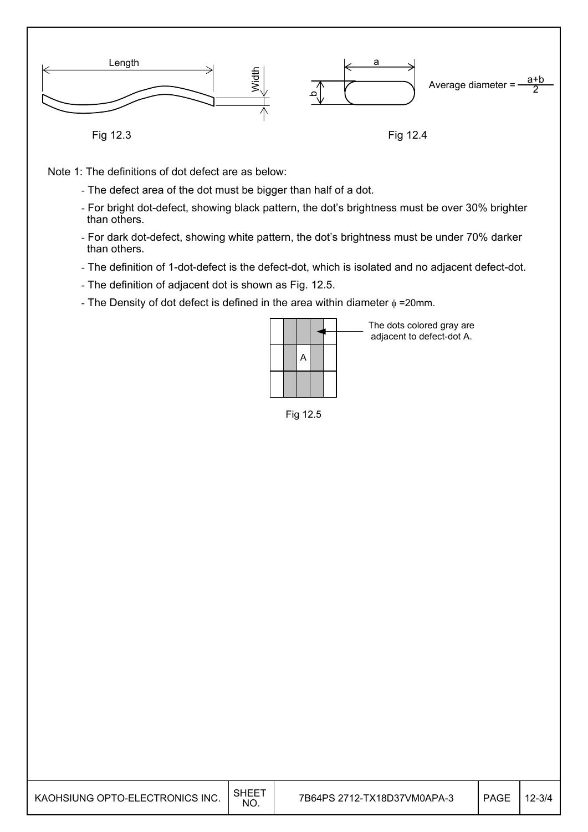

Note 1: The definitions of dot defect are as below:

- The defect area of the dot must be bigger than half of a dot.
- For bright dot-defect, showing black pattern, the dot's brightness must be over 30% brighter than others.
- For dark dot-defect, showing white pattern, the dot's brightness must be under 70% darker than others.
- The definition of 1-dot-defect is the defect-dot, which is isolated and no adjacent defect-dot.
- The definition of adjacent dot is shown as Fig. 12.5.
- The Density of dot defect is defined in the area within diameter  $\phi$  =20mm.

|  | A |  |  |
|--|---|--|--|
|  |   |  |  |
|  |   |  |  |

The dots colored gray are adjacent to defect-dot A.

Fig. 12.5 Fig 12.5

| KAOHSIUNG OPTO-ELECTRONICS INC. | SHEET<br><b>NO</b> | 7B64PS 2712-TX18D37VM0APA-3 | PAGE | $12 - 3/4$ |
|---------------------------------|--------------------|-----------------------------|------|------------|
|---------------------------------|--------------------|-----------------------------|------|------------|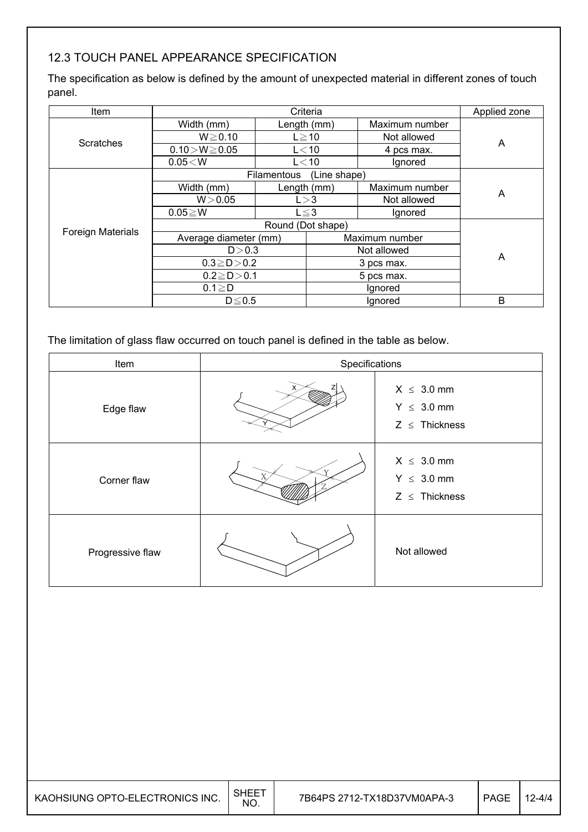## 12.3 TOUCH PANEL APPEARANCE SPECIFICATION

The specification as below is defined by the amount of unexpected material in different zones of touch panel.

| Item                     |                       |                             | Criteria       |                | Applied zone |  |
|--------------------------|-----------------------|-----------------------------|----------------|----------------|--------------|--|
|                          | Width (mm)            |                             | Length (mm)    | Maximum number |              |  |
| Scratches                | $W \ge 0.10$          |                             | $L \ge 10$     | Not allowed    | A            |  |
|                          | $0.10 > W \ge 0.05$   |                             | $L<$ 10        | 4 pcs max.     |              |  |
|                          | 0.05 < W              |                             | $L<$ 10        | Ignored        |              |  |
|                          |                       | Filamentous<br>(Line shape) |                |                |              |  |
|                          | Width (mm)            |                             | Length (mm)    | Maximum number | A            |  |
|                          | W > 0.05              | L > 3                       |                | Not allowed    |              |  |
|                          | $0.05 \ge W$          | $L \leq 3$                  |                | Ignored        |              |  |
| <b>Foreign Materials</b> |                       |                             |                |                |              |  |
|                          | Average diameter (mm) |                             | Maximum number |                |              |  |
|                          | D > 0.3               |                             | Not allowed    |                | A            |  |
|                          | $0.3 \ge D > 0.2$     |                             | 3 pcs max.     |                |              |  |
|                          | $0.2 \ge D > 0.1$     |                             | 5 pcs max.     |                |              |  |
|                          | $0.1 \geq D$          |                             | Ignored        |                |              |  |
|                          | $D \le 0.5$           |                             |                | Ignored        | B            |  |

The limitation of glass flaw occurred on touch panel is defined in the table as below.

| Item             | Specifications |                                                          |  |  |  |
|------------------|----------------|----------------------------------------------------------|--|--|--|
| Edge flaw        |                | $X \leq 3.0$ mm<br>$Y \leq 3.0$ mm<br>$Z \leq$ Thickness |  |  |  |
| Corner flaw      | $\tau$         | $X \leq 3.0$ mm<br>$Y \leq 3.0$ mm<br>$Z \leq$ Thickness |  |  |  |
| Progressive flaw |                | Not allowed                                              |  |  |  |

| KAOHSIUNG OPTO-ELECTRONICS INC. | <b>SHEET</b><br>NO. | 7B64PS 2712-TX18D37VM0APA-3 | <b>PAGE</b> | $12 - 4/4$ |
|---------------------------------|---------------------|-----------------------------|-------------|------------|
|---------------------------------|---------------------|-----------------------------|-------------|------------|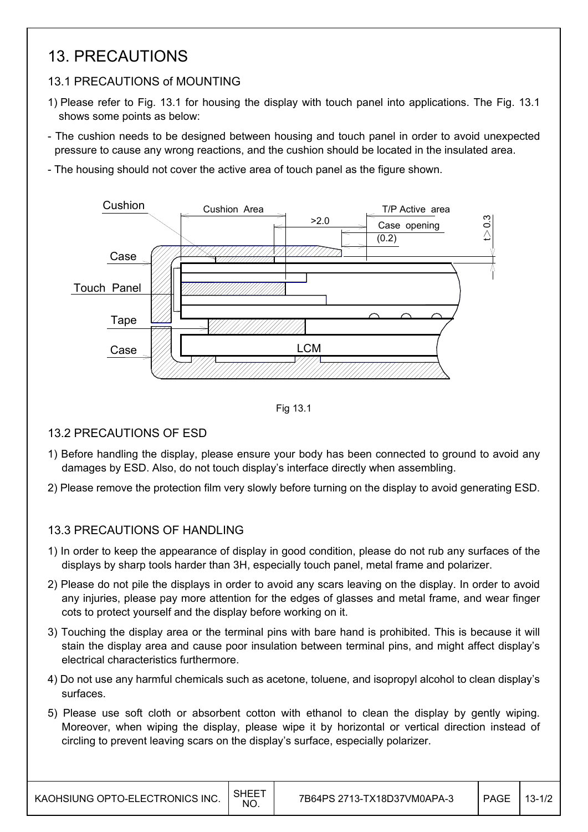## 13. PRECAUTIONS

## 13.1 PRECAUTIONS of MOUNTING

- 1) Please refer to Fig. 13.1 for housing the display with touch panel into applications. The Fig. 13.1 shows some points as below:
- The cushion needs to be designed between housing and touch panel in order to avoid unexpected pressure to cause any wrong reactions, and the cushion should be located in the insulated area.
- The housing should not cover the active area of touch panel as the figure shown.





### 13.2 PRECAUTIONS OF ESD

- 1) Before handling the display, please ensure your body has been connected to ground to avoid any damages by ESD. Also, do not touch display's interface directly when assembling.
- 2) Please remove the protection film very slowly before turning on the display to avoid generating ESD.

### 13.3 PRECAUTIONS OF HANDLING

- 1) In order to keep the appearance of display in good condition, please do not rub any surfaces of the displays by sharp tools harder than 3H, especially touch panel, metal frame and polarizer.
- 2) Please do not pile the displays in order to avoid any scars leaving on the display. In order to avoid any injuries, please pay more attention for the edges of glasses and metal frame, and wear finger cots to protect yourself and the display before working on it.
- 3) Touching the display area or the terminal pins with bare hand is prohibited. This is because it will stain the display area and cause poor insulation between terminal pins, and might affect display's electrical characteristics furthermore.
- 4) Do not use any harmful chemicals such as acetone, toluene, and isopropyl alcohol to clean display's surfaces.
- 5) Please use soft cloth or absorbent cotton with ethanol to clean the display by gently wiping. Moreover, when wiping the display, please wipe it by horizontal or vertical direction instead of circling to prevent leaving scars on the display's surface, especially polarizer.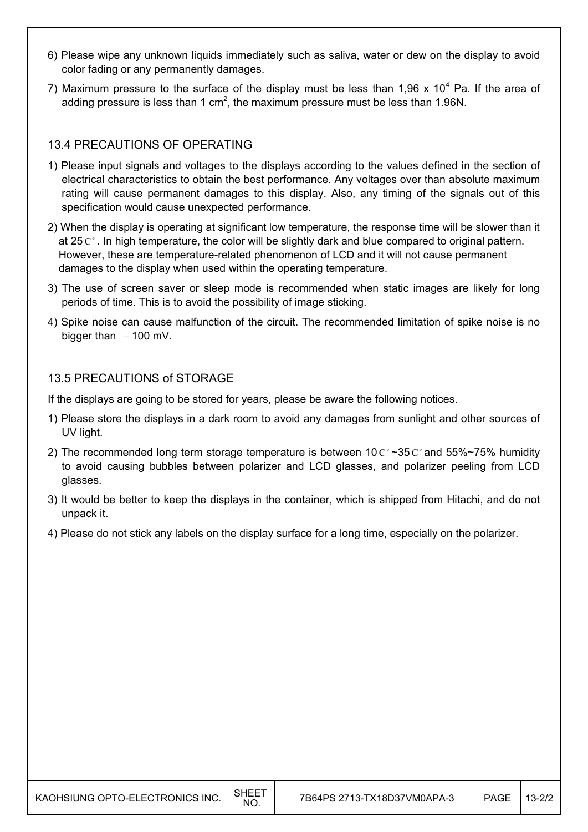- 6) Please wipe any unknown liquids immediately such as saliva, water or dew on the display to avoid color fading or any permanently damages.
- 7) Maximum pressure to the surface of the display must be less than 1,96 x 10<sup>4</sup> Pa. If the area of adding pressure is less than 1 cm<sup>2</sup>, the maximum pressure must be less than 1.96N.

#### 13.4 PRECAUTIONS OF OPERATING

- 1) Please input signals and voltages to the displays according to the values defined in the section of electrical characteristics to obtain the best performance. Any voltages over than absolute maximum rating will cause permanent damages to this display. Also, any timing of the signals out of this specification would cause unexpected performance.
- 2) When the display is operating at significant low temperature, the response time will be slower than it at 25  $\mathrm{C}^{\circ}$ . In high temperature, the color will be slightly dark and blue compared to original pattern. However, these are temperature-related phenomenon of LCD and it will not cause permanent damages to the display when used within the operating temperature.
- 3) The use of screen saver or sleep mode is recommended when static images are likely for long periods of time. This is to avoid the possibility of image sticking.
- 4) Spike noise can cause malfunction of the circuit. The recommended limitation of spike noise is no bigger than  $\pm$  100 mV.

#### 13.5 PRECAUTIONS of STORAGE

If the displays are going to be stored for years, please be aware the following notices.

- 1) Please store the displays in a dark room to avoid any damages from sunlight and other sources of UV light.
- 2) The recommended long term storage temperature is between 10  $C^{\circ}$  ~35  $C^{\circ}$  and 55%~75% humidity to avoid causing bubbles between polarizer and LCD glasses, and polarizer peeling from LCD glasses.
- 3) It would be better to keep the displays in the container, which is shipped from Hitachi, and do not unpack it.
- 4) Please do not stick any labels on the display surface for a long time, especially on the polarizer.

| KAOHSIUNG OPTO-ELECTRONICS INC. | <b>SHEET</b><br>NO. | 7B64PS 2713-TX18D37VM0APA-3 | <b>PAGE</b> | $3 - 2/2$ |
|---------------------------------|---------------------|-----------------------------|-------------|-----------|